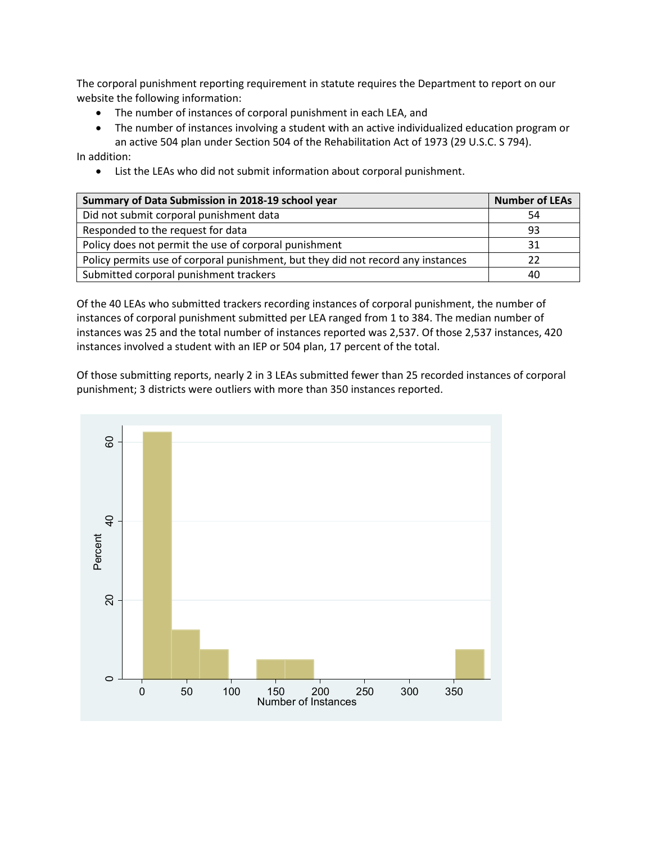The corporal punishment reporting requirement in statute requires the Department to report on our website the following information:

- The number of instances of corporal punishment in each LEA, and
- The number of instances involving a student with an active individualized education program or an active 504 plan under Section 504 of the Rehabilitation Act of 1973 (29 U.S.C. S 794).

In addition:

• List the LEAs who did not submit information about corporal punishment.

| Summary of Data Submission in 2018-19 school year                                | <b>Number of LEAs</b> |
|----------------------------------------------------------------------------------|-----------------------|
| Did not submit corporal punishment data                                          | 54                    |
| Responded to the request for data                                                | 93                    |
| Policy does not permit the use of corporal punishment                            | 31                    |
| Policy permits use of corporal punishment, but they did not record any instances | 22                    |
| Submitted corporal punishment trackers                                           | 40                    |

Of the 40 LEAs who submitted trackers recording instances of corporal punishment, the number of instances of corporal punishment submitted per LEA ranged from 1 to 384. The median number of instances was 25 and the total number of instances reported was 2,537. Of those 2,537 instances, 420 instances involved a student with an IEP or 504 plan, 17 percent of the total.

Of those submitting reports, nearly 2 in 3 LEAs submitted fewer than 25 recorded instances of corporal punishment; 3 districts were outliers with more than 350 instances reported.

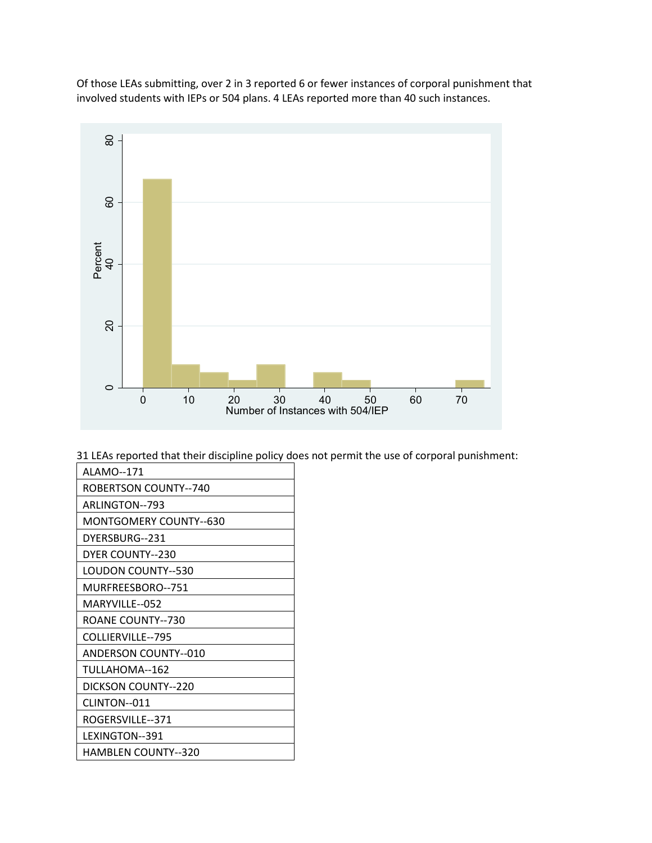Of those LEAs submitting, over 2 in 3 reported 6 or fewer instances of corporal punishment that involved students with IEPs or 504 plans. 4 LEAs reported more than 40 such instances.



31 LEAs reported that their discipline policy does not permit the use of corporal punishment:

| ALAMO--171                   |
|------------------------------|
| <b>ROBERTSON COUNTY--740</b> |
| ARLINGTON--793               |
| MONTGOMERY COUNTY--630       |
| DYERSBURG--231               |
| DYER COUNTY--230             |
| <b>LOUDON COUNTY--530</b>    |
| MURFREESBORO--751            |
| MARYVILLE--052               |
| ROANE COUNTY--730            |
| COLLIERVILLE--795            |
| <b>ANDERSON COUNTY--010</b>  |
| TULLAHOMA--162               |
| DICKSON COUNTY--220          |
| CLINTON--011                 |
| ROGERSVILLE--371             |
| LEXINGTON--391               |
| <b>HAMBLEN COUNTY--320</b>   |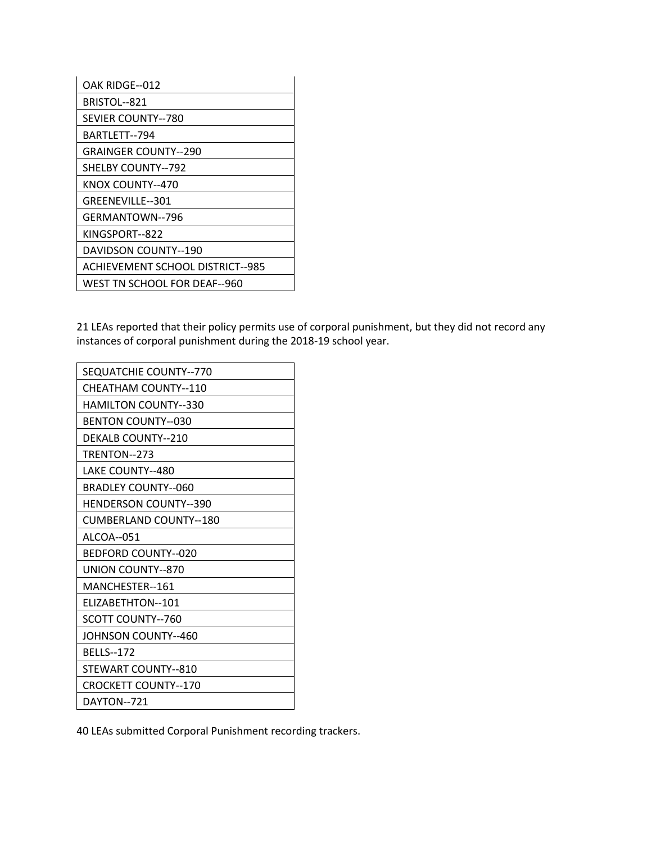| OAK RIDGE--012                          |
|-----------------------------------------|
| BRISTOL--821                            |
| <b>SEVIER COUNTY--780</b>               |
| BARTLETT--794                           |
| <b>GRAINGER COUNTY--290</b>             |
| <b>SHELBY COUNTY--792</b>               |
| KNOX COUNTY--470                        |
| GREENEVILLE--301                        |
| GERMANTOWN--796                         |
| KINGSPORT--822                          |
| DAVIDSON COUNTY--190                    |
| <b>ACHIEVEMENT SCHOOL DISTRICT--985</b> |
| WEST TN SCHOOL FOR DEAF--960            |

21 LEAs reported that their policy permits use of corporal punishment, but they did not record any instances of corporal punishment during the 2018-19 school year.

| SEQUATCHIE COUNTY--770       |
|------------------------------|
| CHEATHAM COUNTY--110         |
| <b>HAMILTON COUNTY--330</b>  |
| <b>BENTON COUNTY--030</b>    |
| <b>DEKALB COUNTY--210</b>    |
| TRENTON--273                 |
| LAKE COUNTY--480             |
| <b>BRADLEY COUNTY--060</b>   |
| <b>HENDERSON COUNTY--390</b> |
| CUMBERLAND COUNTY--180       |
| ALCOA--051                   |
| BEDFORD COUNTY--020          |
| <b>UNION COUNTY--870</b>     |
| MANCHESTER--161              |
| <b>FLIZABETHTON--101</b>     |
| SCOTT COUNTY--760            |
| JOHNSON COUNTY--460          |
| <b>BELLS--172</b>            |
| STEWART COUNTY--810          |
| <b>CROCKETT COUNTY--170</b>  |
| DAYTON--721                  |

40 LEAs submitted Corporal Punishment recording trackers.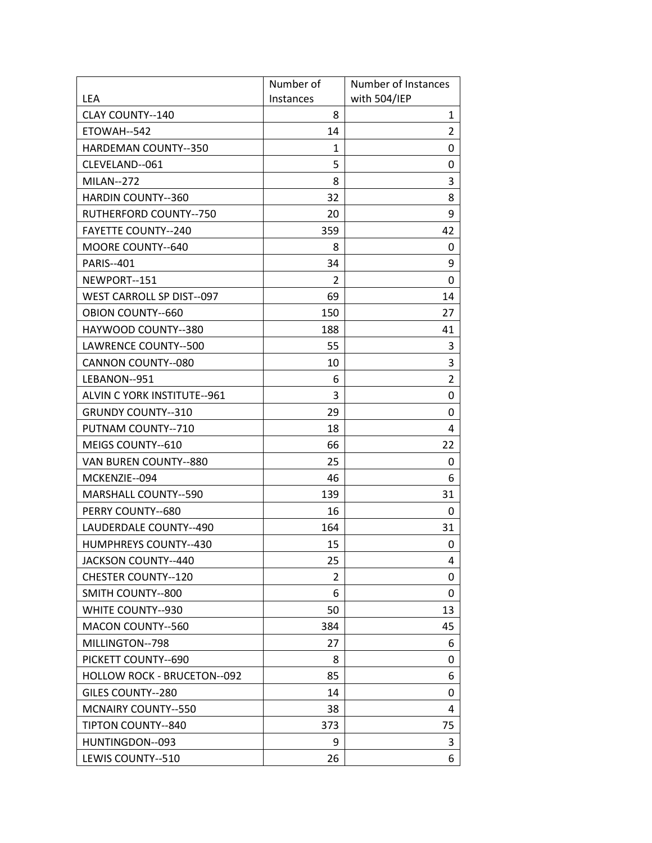|                                    | Number of | Number of Instances |
|------------------------------------|-----------|---------------------|
| <b>LEA</b>                         | Instances | with 504/IEP        |
| <b>CLAY COUNTY--140</b>            | 8         | 1                   |
| ETOWAH--542                        | 14        | $\overline{2}$      |
| <b>HARDEMAN COUNTY--350</b>        | 1         | 0                   |
| CLEVELAND--061                     | 5         | 0                   |
| <b>MILAN--272</b>                  | 8         | 3                   |
| <b>HARDIN COUNTY--360</b>          | 32        | 8                   |
| RUTHERFORD COUNTY--750             | 20        | 9                   |
| <b>FAYETTE COUNTY--240</b>         | 359       | 42                  |
| MOORE COUNTY--640                  | 8         | 0                   |
| <b>PARIS--401</b>                  | 34        | 9                   |
| NEWPORT--151                       | 2         | 0                   |
| <b>WEST CARROLL SP DIST--097</b>   | 69        | 14                  |
| <b>OBION COUNTY--660</b>           | 150       | 27                  |
| HAYWOOD COUNTY--380                | 188       | 41                  |
| LAWRENCE COUNTY--500               | 55        | 3                   |
| <b>CANNON COUNTY--080</b>          | 10        | 3                   |
| LEBANON--951                       | 6         | $\overline{2}$      |
| ALVIN C YORK INSTITUTE--961        | 3         | 0                   |
| <b>GRUNDY COUNTY--310</b>          | 29        | 0                   |
| PUTNAM COUNTY--710                 | 18        | 4                   |
| MEIGS COUNTY--610                  | 66        | 22                  |
| VAN BUREN COUNTY--880              | 25        | 0                   |
| MCKENZIE--094                      | 46        | 6                   |
| <b>MARSHALL COUNTY--590</b>        | 139       | 31                  |
| PERRY COUNTY--680                  | 16        | 0                   |
| LAUDERDALE COUNTY--490             | 164       | 31                  |
| <b>HUMPHREYS COUNTY--430</b>       | 15        | 0                   |
| JACKSON COUNTY--440                | 25        | 4                   |
| <b>CHESTER COUNTY--120</b>         | 2         | 0                   |
| SMITH COUNTY--800                  | 6         | 0                   |
| WHITE COUNTY--930                  | 50        | 13                  |
| <b>MACON COUNTY--560</b>           | 384       | 45                  |
| MILLINGTON--798                    | 27        | 6                   |
| PICKETT COUNTY--690                | 8         | 0                   |
| <b>HOLLOW ROCK - BRUCETON--092</b> | 85        | 6                   |
| <b>GILES COUNTY--280</b>           | 14        | 0                   |
| <b>MCNAIRY COUNTY--550</b>         | 38        | 4                   |
| TIPTON COUNTY--840                 | 373       | 75                  |
| HUNTINGDON--093                    | 9         | 3                   |
| LEWIS COUNTY--510                  | 26        | 6                   |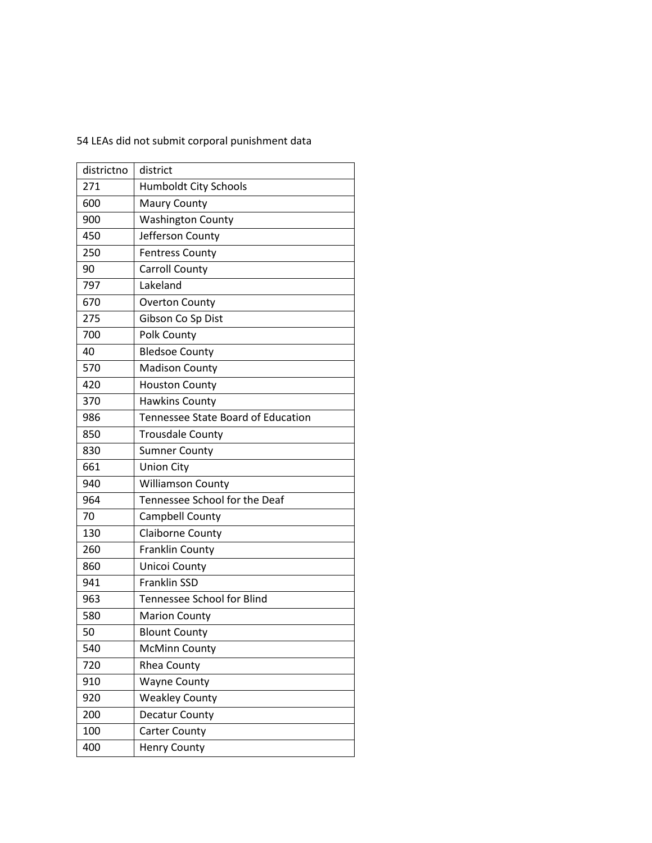54 LEAs did not submit corporal punishment data

| districtno | district                           |
|------------|------------------------------------|
| 271        | <b>Humboldt City Schools</b>       |
| 600        | <b>Maury County</b>                |
| 900        | <b>Washington County</b>           |
| 450        | Jefferson County                   |
| 250        | <b>Fentress County</b>             |
| 90         | Carroll County                     |
| 797        | Lakeland                           |
| 670        | <b>Overton County</b>              |
| 275        | Gibson Co Sp Dist                  |
| 700        | Polk County                        |
| 40         | <b>Bledsoe County</b>              |
| 570        | <b>Madison County</b>              |
| 420        | <b>Houston County</b>              |
| 370        | <b>Hawkins County</b>              |
| 986        | Tennessee State Board of Education |
| 850        | <b>Trousdale County</b>            |
| 830        | <b>Sumner County</b>               |
| 661        | <b>Union City</b>                  |
| 940        | <b>Williamson County</b>           |
| 964        | Tennessee School for the Deaf      |
| 70         | Campbell County                    |
| 130        | Claiborne County                   |
| 260        | <b>Franklin County</b>             |
| 860        | Unicoi County                      |
| 941        | <b>Franklin SSD</b>                |
| 963        | Tennessee School for Blind         |
| 580        | <b>Marion County</b>               |
| 50         | <b>Blount County</b>               |
| 540        | <b>McMinn County</b>               |
| 720        | Rhea County                        |
| 910        | <b>Wayne County</b>                |
| 920        | <b>Weakley County</b>              |
| 200        | Decatur County                     |
| 100        | <b>Carter County</b>               |
| 400        | <b>Henry County</b>                |